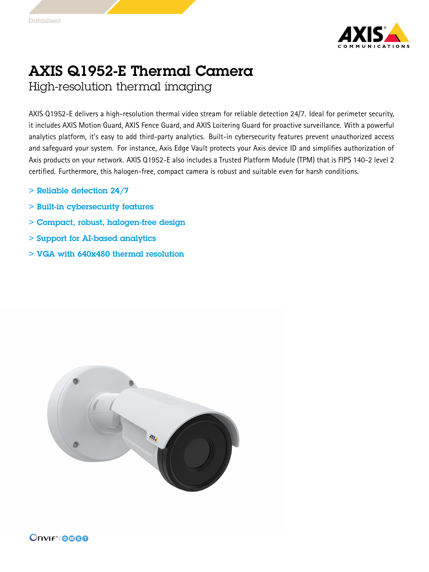

## AXIS Q1952-E Thermal Camera High-resolution thermal imaging

AXIS Q1952-E delivers <sup>a</sup> high-resolution thermal video stream for reliable detection 24/7. Ideal for perimeter security, it includes AXIS Motion Guard, AXIS Fence Guard, and AXIS Loitering Guard for proactive surveillance. With <sup>a</sup> powerful analytics platform, it's easy to add third-party analytics. Built-in cybersecurity features prevent unauthorized access and safeguard your system. For instance, Axis Edge Vault protects your Axis device ID and simplifies authorization of Axis products on your network. AXIS Q1952-E also includes <sup>a</sup> Trusted Platform Module (TPM) that is FIPS 140-2 level <sup>2</sup> certified. Furthermore, this halogen-free, compact camera is robust and suitable even for harsh conditions.

- $>$  Reliable detection 24/7
- > Built-in cybersecurity features
- > Compact, robust, halogen-free design
- > Support for AI-based analytics
- > VGA with 640x480 thermal resolution

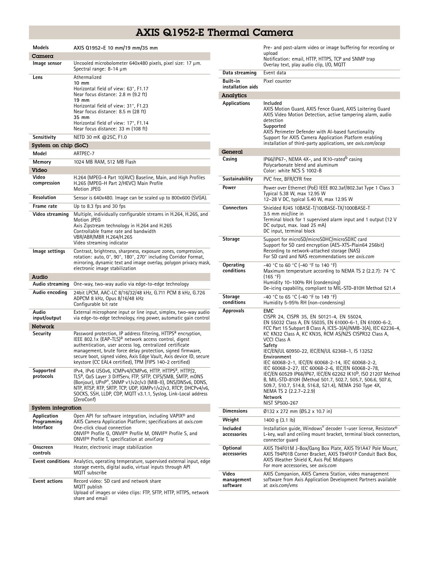## AXIS Q1952-E Thermal Camera

| <b>Models</b>                                  | AXIS Q1952-E 10 mm/19 mm/35 mm                                                                                                                                                                                                                                                                                                                                                                             |  |
|------------------------------------------------|------------------------------------------------------------------------------------------------------------------------------------------------------------------------------------------------------------------------------------------------------------------------------------------------------------------------------------------------------------------------------------------------------------|--|
| Camera                                         |                                                                                                                                                                                                                                                                                                                                                                                                            |  |
| Image sensor                                   | Uncooled microbolometer 640x480 pixels, pixel size: 17 µm.<br>Spectral range: $8-14 \mu m$                                                                                                                                                                                                                                                                                                                 |  |
| Lens                                           | Athermalized<br>$10 \text{ mm}$<br>Horizontal field of view: 63°, F1.17<br>Near focus distance: 2.8 m (9.2 ft)<br>$19 \text{ mm}$<br>Horizontal field of view: 31°, F1.23<br>Near focus distance: 8.5 m (28 ft)<br>35 mm<br>Horizontal field of view: 17°, F1.14<br>Near focus distance: 33 m (108 ft)                                                                                                     |  |
| Sensitivity                                    | NETD 30 mK @25C, F1.0                                                                                                                                                                                                                                                                                                                                                                                      |  |
| System on chip (SoC)                           |                                                                                                                                                                                                                                                                                                                                                                                                            |  |
| Model                                          | ARTPEC-7                                                                                                                                                                                                                                                                                                                                                                                                   |  |
| Memory                                         | 1024 MB RAM, 512 MB Flash                                                                                                                                                                                                                                                                                                                                                                                  |  |
| Video                                          |                                                                                                                                                                                                                                                                                                                                                                                                            |  |
| Video<br>compression                           | H.264 (MPEG-4 Part 10/AVC) Baseline, Main, and High Profiles<br>H.265 (MPEG-H Part 2/HEVC) Main Profile<br><b>Motion JPEG</b>                                                                                                                                                                                                                                                                              |  |
| <b>Resolution</b>                              | Sensor is 640x480. Image can be scaled up to 800x600 (SVGA).                                                                                                                                                                                                                                                                                                                                               |  |
| Frame rate                                     | Up to 8.3 fps and 30 fps                                                                                                                                                                                                                                                                                                                                                                                   |  |
| Video streaming                                | Multiple, individually configurable streams in H.264, H.265, and<br><b>Motion JPEG</b><br>Axis Zipstream technology in H.264 and H.265<br>Controllable frame rate and bandwidth<br>VBR/ABR/MBR H.264/H.265<br>Video streaming indicator                                                                                                                                                                    |  |
| Image settings                                 | Contrast, brightness, sharpness, exposure zones, compression,<br>rotation: auto, 0°, 90°, 180°, 270° including Corridor Format,<br>mirroring, dynamic text and image overlay, polygon privacy mask,<br>electronic image stabilization                                                                                                                                                                      |  |
| Audio                                          |                                                                                                                                                                                                                                                                                                                                                                                                            |  |
| Audio streaming                                | One-way, two-way audio via edge-to-edge technology                                                                                                                                                                                                                                                                                                                                                         |  |
| Audio encoding                                 | 24bit LPCM, AAC-LC 8/16/32/48 kHz, G.711 PCM 8 kHz, G.726<br>ADPCM 8 kHz, Opus 8/16/48 kHz<br>Configurable bit rate                                                                                                                                                                                                                                                                                        |  |
| Audio<br>input/output                          | External microphone input or line input, simplex, two-way audio<br>via edge-to-edge technology, ring power, automatic gain control                                                                                                                                                                                                                                                                         |  |
| <b>Network</b>                                 |                                                                                                                                                                                                                                                                                                                                                                                                            |  |
| Security                                       | Password protection, IP address filtering, HTTPS <sup>a</sup> encryption,<br>IEEE 802.1x (EAP-TLS) <sup>a</sup> network access control, digest<br>authentication, user access log, centralized certificate<br>management, brute force delay protection, signed firmware,<br>secure boot, signed video, Axis Edge Vault, Axis device ID, secure<br>keystore (CC EAL4 certified), TPM (FIPS 140-2 certified) |  |
| Supported<br>protocols                         | IPv4, IPv6 USGv6, ICMPv4/ICMPv6, HTTP, HTTPS <sup>a</sup> , HTTP/2,<br>TLS <sup>a</sup> , QoS Layer 3 DiffServ, FTP, SFTP, CIFS/SMB, SMTP, mDNS<br>(Bonjour), UPnP®, SNMP v1/v2c/v3 (MIB-II), DNS/DNSv6, DDNS,<br>NTP, RTSP, RTP, SRTP, TCP, UDP, IGMPv1/v2/v3, RTCP, DHCPv4/v6,<br>SOCKS, SSH, LLDP, CDP, MQTT v3.1.1, Syslog, Link-Local address<br>(ZeroConf)                                           |  |
| <b>System integration</b>                      |                                                                                                                                                                                                                                                                                                                                                                                                            |  |
| Application<br>Programming<br><b>Interface</b> | Open API for software integration, including VAPIX® and<br>AXIS Camera Application Platform; specifications at axis.com<br>One-click cloud connection<br>ONVIF® Profile G, ONVIF® Profile M, ONVIF® Profile S, and<br>ONVIF <sup>®</sup> Profile T, specification at onvif.org                                                                                                                             |  |
| Onscreen<br>controls                           | Heater, electronic image stabilization                                                                                                                                                                                                                                                                                                                                                                     |  |
| <b>Event conditions</b>                        | Analytics, operating temperature, supervised external input, edge<br>storage events, digital audio, virtual inputs through API<br>MQTT subscribe                                                                                                                                                                                                                                                           |  |
| <b>Event actions</b>                           | Record video: SD card and network share<br>MQTT publish<br>Upload of images or video clips: FTP, SFTP, HTTP, HTTPS, network<br>share and email                                                                                                                                                                                                                                                             |  |

|                                 | Pre- and post-alarm video or image buffering for recording or<br>upload                                                                                                                                                                                                                                                                                                                                                                                                                                                   |
|---------------------------------|---------------------------------------------------------------------------------------------------------------------------------------------------------------------------------------------------------------------------------------------------------------------------------------------------------------------------------------------------------------------------------------------------------------------------------------------------------------------------------------------------------------------------|
|                                 | Notification: email, HTTP, HTTPS, TCP and SNMP trap<br>Overlay text, play audio clip, I/O, MQTT                                                                                                                                                                                                                                                                                                                                                                                                                           |
| Data streaming                  | Event data                                                                                                                                                                                                                                                                                                                                                                                                                                                                                                                |
| Built-in<br>installation aids   | Pixel counter                                                                                                                                                                                                                                                                                                                                                                                                                                                                                                             |
| <b>Analytics</b>                |                                                                                                                                                                                                                                                                                                                                                                                                                                                                                                                           |
| Applications                    | Included<br>AXIS Motion Guard, AXIS Fence Guard, AXIS Loitering Guard<br>AXIS Video Motion Detection, active tampering alarm, audio<br>detection<br>Supported<br>AXIS Perimeter Defender with AI-based functionality<br>Support for AXIS Camera Application Platform enabling<br>installation of third-party applications, see <i>axis.com/acap</i>                                                                                                                                                                       |
| General                         |                                                                                                                                                                                                                                                                                                                                                                                                                                                                                                                           |
| Casing                          | IP66/IP67-, NEMA 4X-, and IK10-rated <sup>b</sup> casing<br>Polycarbonate blend and aluminum<br>Color: white NCS S 1002-B                                                                                                                                                                                                                                                                                                                                                                                                 |
| Sustainability                  | PVC free, BFR/CFR free                                                                                                                                                                                                                                                                                                                                                                                                                                                                                                    |
| Power                           | Power over Ethernet (PoE) IEEE 802.3af/802.3at Type 1 Class 3<br>Typical 5.38 W, max 12.95 W<br>12-28 V DC, typical 5.40 W, max 12.95 W                                                                                                                                                                                                                                                                                                                                                                                   |
| <b>Connectors</b>               | Shielded RJ45 10BASE-T/100BASE-TX/1000BASE-T                                                                                                                                                                                                                                                                                                                                                                                                                                                                              |
|                                 | 3.5 mm mic/line in<br>Terminal block for 1 supervised alarm input and 1 output (12 V<br>DC output, max. load 25 mA)<br>DC input, terminal block                                                                                                                                                                                                                                                                                                                                                                           |
| Storage                         | Support for microSD/microSDHC/microSDXC card<br>Support for SD card encryption (AES-XTS-Plain64 256bit)<br>Recording to network-attached storage (NAS)<br>For SD card and NAS recommendations see axis.com                                                                                                                                                                                                                                                                                                                |
| Operating<br>conditions         | -40 °C to 60 °C (-40 °F to 140 °F)<br>Maximum temperature according to NEMA TS 2 (2.2.7): 74 °C<br>(165 °F)<br>Humidity 10-100% RH (condensing)<br>De-icing capability, compliant to MIL-STD-810H Method 521.4                                                                                                                                                                                                                                                                                                            |
| Storage<br>conditions           | -40 °C to 65 °C (-40 °F to 149 °F)<br>Humidity 5-95% RH (non-condensing)                                                                                                                                                                                                                                                                                                                                                                                                                                                  |
| <b>Approvals</b>                | EMC<br>CISPR 24, CISPR 35, EN 50121-4, EN 55024,<br>EN 55032 Class A, EN 55035, EN 61000-6-1, EN 61000-6-2,<br>FCC Part 15 Subpart B Class A, ICES-3(A)/NMB-3(A), IEC 62236-4,<br>KC KN32 Class A, KC KN35, RCM AS/NZS CISPR32 Class A,<br>VCCI Class A<br>Safety<br>IEC/EN/UL 60950-22, IEC/EN/UL 62368-1, IS 13252<br>Environment<br>IEC 60068-2-1, IEC/EN 60068-2-14, IEC 60068-2-2,<br>IEC 60068-2-27, IEC 60068-2-6, IEC/EN 60068-2-78,<br>IEC/EN 60529 IP66/IP67, IEC/EN 62262 IK10 <sup>b</sup> , ISO 21207 Method |
|                                 | B, MIL-STD-810H (Method 501.7, 502.7, 505.7, 506.6, 507.6,<br>509.7, 510.7, 514.8, 516.8, 521.4), NEMA 250 Type 4X,<br>NEMA TS 2 (2.2.7-2.2.9)<br><b>Network</b><br>NIST SP500-267                                                                                                                                                                                                                                                                                                                                        |
| <b>Dimensions</b>               | Ø132 x 272 mm (Ø5.2 x 10.7 in)                                                                                                                                                                                                                                                                                                                                                                                                                                                                                            |
| Weight                          | 1400 g $(3.1 \text{ lb})$                                                                                                                                                                                                                                                                                                                                                                                                                                                                                                 |
| Included<br>accessories         | Installation guide, Windows® decoder 1-user license, Resistorx®<br>L-key, wall and ceiling mount bracket, terminal block connectors,<br>connector quard                                                                                                                                                                                                                                                                                                                                                                   |
| Optional<br>accessories         | AXIS T94F01M J-Box/Gang Box Plate, AXIS T91A47 Pole Mount,<br>AXIS T94P01B Corner Bracket, AXIS T94F01P Conduit Back Box,<br>AXIS Weather Shield K, Axis PoE Midspans<br>For more accessories, see axis.com                                                                                                                                                                                                                                                                                                               |
| Video<br>management<br>software | AXIS Companion, AXIS Camera Station, video management<br>software from Axis Application Development Partners available<br>at axis.com/vms                                                                                                                                                                                                                                                                                                                                                                                 |
|                                 |                                                                                                                                                                                                                                                                                                                                                                                                                                                                                                                           |